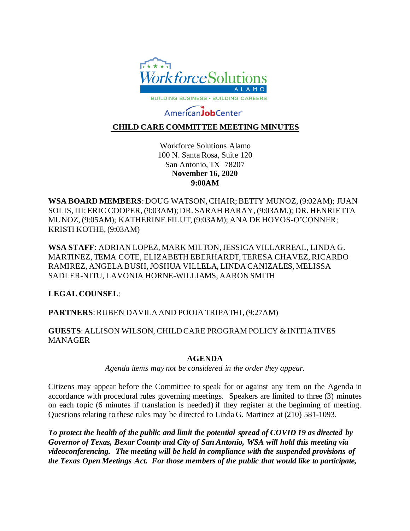

# AmericanJobCenter

## **CHILD CARE COMMITTEE MEETING MINUTES**

Workforce Solutions Alamo 100 N. Santa Rosa, Suite 120 San Antonio, TX 78207 **November 16, 2020 9:00AM**

**WSA BOARD MEMBERS**: DOUG WATSON, CHAIR; BETTY MUNOZ, (9:02AM); JUAN SOLIS, III; ERIC COOPER, (9:03AM); DR. SARAH BARAY, (9:03AM.); DR. HENRIETTA MUNOZ, (9:05AM); KATHERINE FILUT, (9:03AM); ANA DE HOYOS-O'CONNER; KRISTI KOTHE, (9:03AM)

**WSA STAFF**: ADRIAN LOPEZ, MARK MILTON, JESSICA VILLARREAL, LINDA G. MARTINEZ, TEMA COTE, ELIZABETH EBERHARDT, TERESA CHAVEZ, RICARDO RAMIREZ, ANGELA BUSH, JOSHUA VILLELA, LINDA CANIZALES, MELISSA SADLER-NITU, LAVONIA HORNE-WILLIAMS, AARON SMITH

**LEGAL COUNSEL**:

**PARTNERS**: RUBEN DAVILA AND POOJA TRIPATHI, (9:27AM)

**GUESTS**: ALLISON WILSON, CHILD CARE PROGRAM POLICY & INITIATIVES MANAGER

#### **AGENDA**

*Agenda items may not be considered in the order they appear.*

Citizens may appear before the Committee to speak for or against any item on the Agenda in accordance with procedural rules governing meetings. Speakers are limited to three (3) minutes on each topic (6 minutes if translation is needed) if they register at the beginning of meeting. Questions relating to these rules may be directed to Linda G. Martinez at (210) 581-1093.

*To protect the health of the public and limit the potential spread of COVID 19 as directed by Governor of Texas, Bexar County and City of San Antonio, WSA will hold this meeting via videoconferencing. The meeting will be held in compliance with the suspended provisions of the Texas Open Meetings Act. For those members of the public that would like to participate,*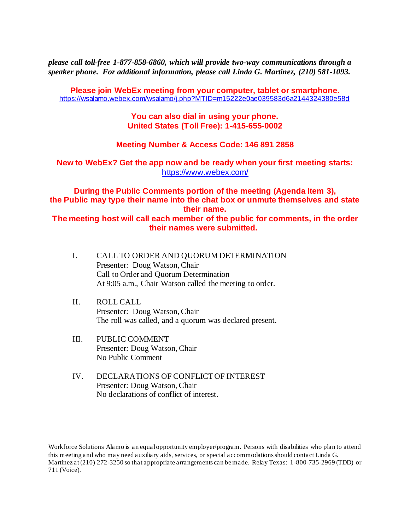*please call toll-free 1-877-858-6860, which will provide two-way communications through a speaker phone. For additional information, please call Linda G. Martinez, (210) 581-1093.* 

**Please join WebEx meeting from your computer, tablet or smartphone.**  <https://wsalamo.webex.com/wsalamo/j.php?MTID=m15222e0ae039583d6a2144324380e58d>

> **You can also dial in using your phone. United States (Toll Free): 1-415-655-0002**

**Meeting Number & Access Code: 146 891 2858**

**New to WebEx? Get the app now and be ready when your first meeting starts:**  <https://www.webex.com/>

**During the Public Comments portion of the meeting (Agenda Item 3), the Public may type their name into the chat box or unmute themselves and state their name.**

**The meeting host will call each member of the public for comments, in the order their names were submitted.**

- I. CALL TO ORDER AND QUORUM DETERMINATION Presenter: Doug Watson, Chair Call to Order and Quorum Determination At 9:05 a.m., Chair Watson called the meeting to order.
- II. ROLL CALL Presenter: Doug Watson, Chair The roll was called, and a quorum was declared present.
- III. PUBLIC COMMENT Presenter: Doug Watson, Chair No Public Comment
- IV. DECLARATIONS OF CONFLICT OF INTEREST Presenter: Doug Watson, Chair No declarations of conflict of interest.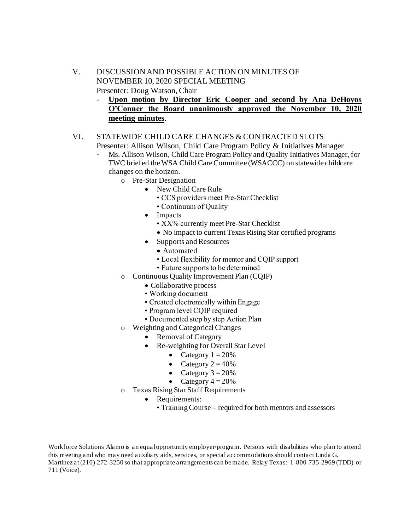- V. DISCUSSION AND POSSIBLE ACTION ON MINUTES OF NOVEMBER 10, 2020 SPECIAL MEETING Presenter: Doug Watson, Chair
	- **Upon motion by Director Eric Cooper and second by Ana DeHoyos O'Conner the Board unanimously approved the November 10, 2020 meeting minutes**.
- VI. STATEWIDE CHILD CARE CHANGES & CONTRACTED SLOTS Presenter: Allison Wilson, Child Care Program Policy & Initiatives Manager
	- Ms. Allison Wilson, Child Care Program Policy and Quality Initiatives Manager, for TWC briefed the WSA Child Care Committee (WSACCC) on statewide childcare changes on the horizon.
		- o Pre-Star Designation
			- New Child Care Rule
				- CCS providers meet Pre-Star Checklist
				- Continuum of Quality
			- Impacts
				- XX% currently meet Pre-Star Checklist
				- No impact to current Texas Rising Star certified programs
			- Supports and Resources
				- Automated
				- Local flexibility for mentor and CQIP support
				- Future supports to be determined
		- o Continuous Quality Improvement Plan (CQIP)
			- Collaborative process
			- Working document
			- Created electronically within Engage
			- Program level CQIP required
			- Documented step by step Action Plan
		- o Weighting and Categorical Changes
			- Removal of Category
			- Re-weighting for Overall Star Level
				- Category  $1 = 20\%$
				- Category  $2 = 40\%$
				- Category  $3 = 20\%$
				- Category  $4 = 20\%$
		- o Texas Rising Star Staff Requirements
			- Requirements:
				- Training Course required for both mentors and assessors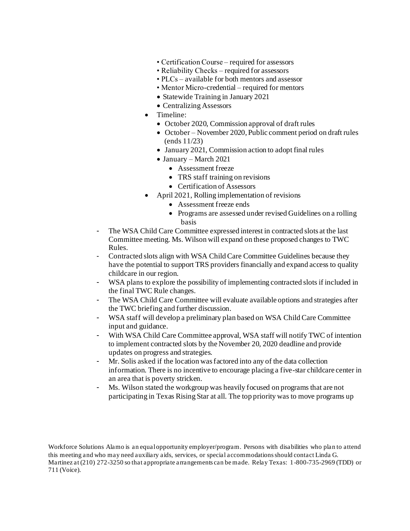- Certification Course required for assessors
- Reliability Checks required for assessors
- PLCs available for both mentors and assessor
- Mentor Micro-credential required for mentors
- Statewide Training in January 2021
- Centralizing Assessors
- Timeline:
	- October 2020, Commission approval of draft rules
	- October November 2020, Public comment period on draft rules (ends 11/23)
	- January 2021, Commission action to adopt final rules
	- January March 2021
		- Assessment freeze
		- TRS staff training on revisions
		- Certification of Assessors
- April 2021, Rolling implementation of revisions
	- Assessment freeze ends
	- Programs are assessed under revised Guidelines on a rolling basis
- The WSA Child Care Committee expressed interest in contracted slots at the last Committee meeting. Ms. Wilson will expand on these proposed changes to TWC Rules.
- Contracted slots align with WSA Child Care Committee Guidelines because they have the potential to support TRS providers financially and expand access to quality childcare in our region.
- WSA plans to explore the possibility of implementing contracted slots if included in the final TWC Rule changes.
- The WSA Child Care Committee will evaluate available options and strategies after the TWC briefing and further discussion.
- WSA staff will develop a preliminary plan based on WSA Child Care Committee input and guidance.
- With WSA Child Care Committee approval, WSA staff will notify TWC of intention to implement contracted slots by the November 20, 2020 deadline and provide updates on progress and strategies.
- Mr. Solis asked if the location was factored into any of the data collection information. There is no incentive to encourage placing a five-star childcare center in an area that is poverty stricken.
- Ms. Wilson stated the workgroup was heavily focused on programs that are not participating in Texas Rising Star at all. The top priority was to move programs up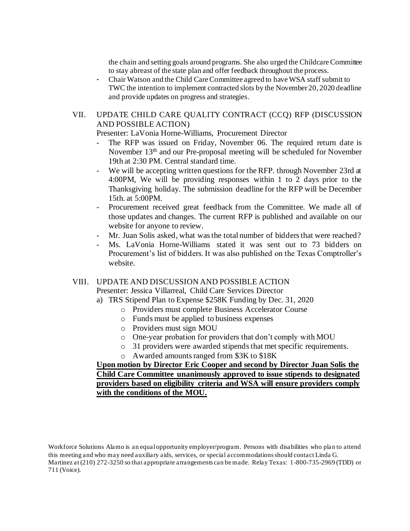the chain and setting goals around programs. She also urged the ChildcareCommittee to stay abreast of the state plan and offer feedback throughout the process.

- Chair Watson and the Child Care Committee agreed to have WSA staff submit to TWC the intention to implement contracted slots by the November 20, 2020 deadline and provide updates on progress and strategies.

## VII. UPDATE CHILD CARE QUALITY CONTRACT (CCQ) RFP (DISCUSSION AND POSSIBLE ACTION)

Presenter: LaVonia Horne-Williams, Procurement Director

- The RFP was issued on Friday, November 06. The required return date is November 13th and our Pre-proposal meeting will be scheduled for November 19th at 2:30 PM. Central standard time.
- We will be accepting written questions for the RFP. through November 23rd at 4:00PM, We will be providing responses within 1 to 2 days prior to the Thanksgiving holiday. The submission deadline for the RFP will be December 15th. at 5:00PM.
- Procurement received great feedback from the Committee. We made all of those updates and changes. The current RFP is published and available on our website for anyone to review.
- Mr. Juan Solis asked, what was the total number of bidders that were reached?
- Ms. LaVonia Horne-Williams stated it was sent out to 73 bidders on Procurement's list of bidders. It was also published on the Texas Comptroller's website.

#### VIII. UPDATE AND DISCUSSION AND POSSIBLE ACTION

Presenter: Jessica Villarreal, Child Care Services Director

- a) TRS Stipend Plan to Expense \$258K Funding by Dec. 31, 2020
	- o Providers must complete Business Accelerator Course
	- o Funds must be applied to business expenses
	- o Providers must sign MOU
	- o One-year probation for providers that don't comply with MOU
	- o 31 providers were awarded stipends that met specific requirements.
	- o Awarded amounts ranged from \$3K to \$18K

## **Upon motion by Director Eric Cooper and second by Director Juan Solis the Child Care Committee unanimously approved to issue stipends to designated providers based on eligibility criteria and WSA will ensure providers comply with the conditions of the MOU.**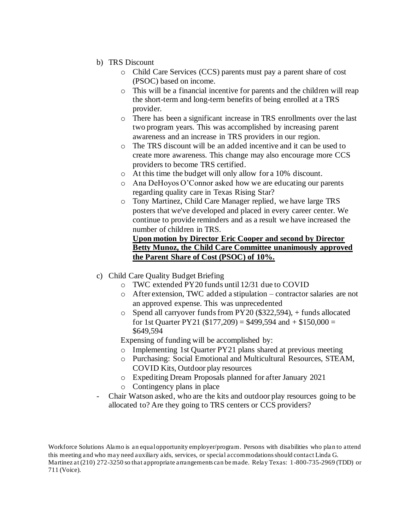- b) TRS Discount
	- o Child Care Services (CCS) parents must pay a parent share of cost (PSOC) based on income.
	- o This will be a financial incentive for parents and the children will reap the short-term and long-term benefits of being enrolled at a TRS provider.
	- o There has been a significant increase in TRS enrollments over the last two program years. This was accomplished by increasing parent awareness and an increase in TRS providers in our region.
	- o The TRS discount will be an added incentive and it can be used to create more awareness. This change may also encourage more CCS providers to become TRS certified.
	- o At this time the budget will only allow for a 10% discount.
	- o Ana DeHoyos O'Connor asked how we are educating our parents regarding quality care in Texas Rising Star?
	- o Tony Martinez, Child Care Manager replied, we have large TRS posters that we've developed and placed in every career center. We continue to provide reminders and as a result we have increased the number of children in TRS.

## **Upon motion by Director Eric Cooper and second by Director Betty Munoz, the Child Care Committee unanimously approved the Parent Share of Cost (PSOC) of 10%.**

- c) Child Care Quality Budget Briefing
	- o TWC extended PY20 funds until 12/31 due to COVID
	- o After extension, TWC added a stipulation contractor salaries are not an approved expense. This was unprecedented
	- o Spend all carryover funds from PY20 (\$322,594), + funds allocated for 1st Quarter PY21 (\$177,209) = \$499,594 and  $+$  \$150,000 = \$649,594

Expensing of funding will be accomplished by:

- o Implementing 1st Quarter PY21 plans shared at previous meeting
- o Purchasing: Social Emotional and Multicultural Resources, STEAM, COVID Kits, Outdoor play resources
- o Expediting Dream Proposals planned for after January 2021
- o Contingency plans in place
- Chair Watson asked, who are the kits and outdoor play resources going to be allocated to? Are they going to TRS centers or CCS providers?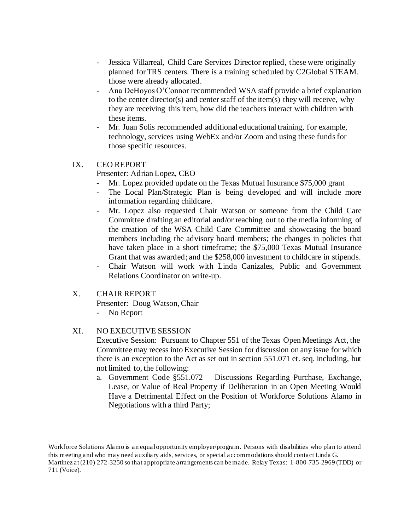- Jessica Villarreal, Child Care Services Director replied, these were originally planned for TRS centers. There is a training scheduled by C2Global STEAM. those were already allocated.
- Ana DeHoyos O'Connor recommended WSA staff provide a brief explanation to the center director(s) and center staff of the item(s) they will receive, why they are receiving this item, how did the teachers interact with children with these items.
- Mr. Juan Solis recommended additional educational training, for example, technology, services using WebEx and/or Zoom and using these funds for those specific resources.

#### IX. CEO REPORT

Presenter: Adrian Lopez, CEO

- Mr. Lopez provided update on the Texas Mutual Insurance \$75,000 grant
- The Local Plan/Strategic Plan is being developed and will include more information regarding childcare.
- Mr. Lopez also requested Chair Watson or someone from the Child Care Committee drafting an editorial and/or reaching out to the media informing of the creation of the WSA Child Care Committee and showcasing the board members including the advisory board members; the changes in policies that have taken place in a short timeframe; the \$75,000 Texas Mutual Insurance Grant that was awarded; and the \$258,000 investment to childcare in stipends.
- Chair Watson will work with Linda Canizales, Public and Government Relations Coordinator on write-up.

#### X. CHAIR REPORT

Presenter: Doug Watson, Chair

- No Report

#### XI. NO EXECUTIVE SESSION

Executive Session: Pursuant to Chapter 551 of the Texas Open Meetings Act, the Committee may recess into Executive Session for discussion on any issue for which there is an exception to the Act as set out in section 551.071 et. seq. including, but not limited to, the following:

a. Government Code §551.072 – Discussions Regarding Purchase, Exchange, Lease, or Value of Real Property if Deliberation in an Open Meeting Would Have a Detrimental Effect on the Position of Workforce Solutions Alamo in Negotiations with a third Party;